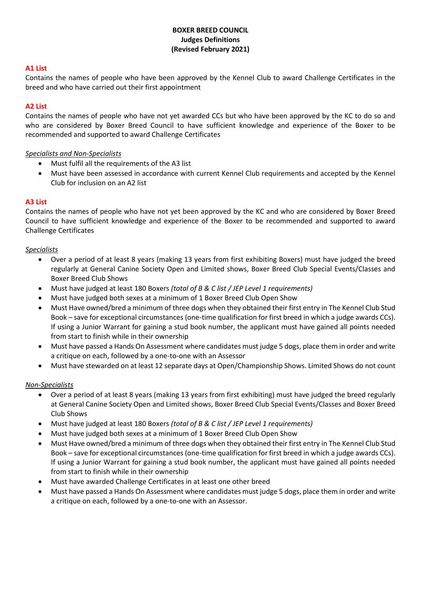# **BOXER BREED COUNCIL Judges Definitions (Revised February 2021)**

## **A1 List**

Contains the names of people who have been approved by the Kennel Club to award Challenge Certificates in the breed and who have carried out their first appointment

## **A2 List**

Contains the names of people who have not yet awarded CCs but who have been approved by the KC to do so and who are considered by Boxer Breed Council to have sufficient knowledge and experience of the Boxer to be recommended and supported to award Challenge Certificates

## *Specialists and Non-Specialists*

- Must fulfil all the requirements of the A3 list
- Must have been assessed in accordance with current Kennel Club requirements and accepted by the Kennel Club for inclusion on an A2 list

## **A3 List**

Contains the names of people who have not yet been approved by the KC and who are considered by Boxer Breed Council to have sufficient knowledge and experience of the Boxer to be recommended and supported to award Challenge Certificates

#### *Specialists*

- Over a period of at least 8 years (making 13 years from first exhibiting Boxers) must have judged the breed regularly at General Canine Society Open and Limited shows, Boxer Breed Club Special Events/Classes and Boxer Breed Club Shows
- Must have judged at least 180 Boxers *(total of B & C list / JEP Level 1 requirements)*
- Must have judged both sexes at a minimum of 1 Boxer Breed Club Open Show
- Must Have owned/bred a minimum of three dogs when they obtained their first entry in The Kennel Club Stud Book – save for exceptional circumstances (one-time qualification for first breed in which a judge awards CCs). If using a Junior Warrant for gaining a stud book number, the applicant must have gained all points needed from start to finish while in their ownership
- Must have passed a Hands On Assessment where candidates must judge 5 dogs, place them in order and write a critique on each, followed by a one-to-one with an Assessor
- Must have stewarded on at least 12 separate days at Open/Championship Shows. Limited Shows do not count

#### *Non-Specialists*

- Over a period of at least 8 years (making 13 years from first exhibiting) must have judged the breed regularly at General Canine Society Open and Limited shows, Boxer Breed Club Special Events/Classes and Boxer Breed Club Shows
- Must have judged at least 180 Boxers *(total of B & C list / JEP Level 1 requirements)*
- Must have judged both sexes at a minimum of 1 Boxer Breed Club Open Show
- Must Have owned/bred a minimum of three dogs when they obtained their first entry in The Kennel Club Stud Book – save for exceptional circumstances (one-time qualification for first breed in which a judge awards CCs). If using a Junior Warrant for gaining a stud book number, the applicant must have gained all points needed from start to finish while in their ownership
- Must have awarded Challenge Certificates in at least one other breed
- Must have passed a Hands On Assessment where candidates must judge 5 dogs, place them in order and write a critique on each, followed by a one-to-one with an Assessor.